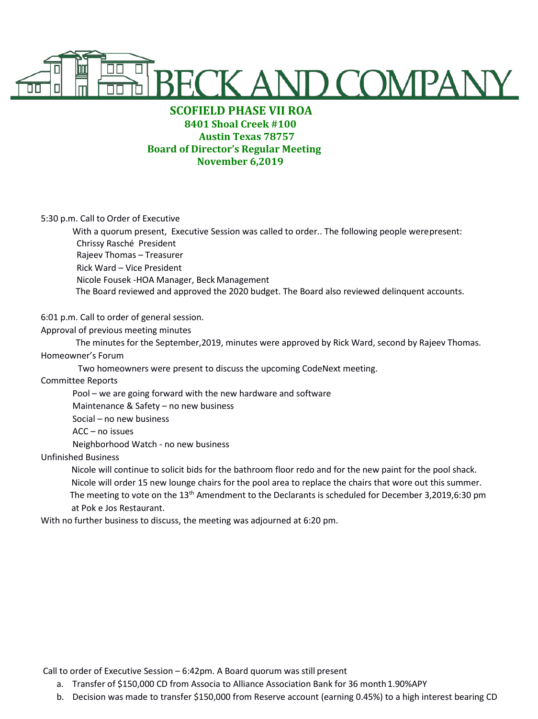

# **SCOFIELD PHASE VII ROA 8401 Shoal Creek #100 Austin Texas 78757 Board of Director's Regular Meeting November 6,2019**

5:30 p.m. Call to Order of Executive

With a quorum present, Executive Session was called to order.. The following people werepresent: Chrissy Rasché President Rajeev Thomas – Treasurer Rick Ward – Vice President Nicole Fousek -HOA Manager, Beck Management The Board reviewed and approved the 2020 budget. The Board also reviewed delinquent accounts.

## 6:01 p.m. Call to order of general session.

### Approval of previous meeting minutes

 The minutes for the September,2019, minutes were approved by Rick Ward, second by Rajeev Thomas. Homeowner's Forum

Two homeowners were present to discuss the upcoming CodeNext meeting.

### Committee Reports

Pool – we are going forward with the new hardware and software Maintenance & Safety – no new business Social – no new business ACC – no issues Neighborhood Watch - no new business

### Unfinished Business

 Nicole will continue to solicit bids for the bathroom floor redo and for the new paint for the pool shack. Nicole will order 15 new lounge chairs for the pool area to replace the chairs that wore out this summer. The meeting to vote on the 13<sup>th</sup> Amendment to the Declarants is scheduled for December 3,2019,6:30 pm at Pok e Jos Restaurant.

With no further business to discuss, the meeting was adjourned at 6:20 pm.

Call to order of Executive Session – 6:42pm. A Board quorum was still present

- a. Transfer of \$150,000 CD from Associa to Alliance Association Bank for 36 month1.90%APY
- b. Decision was made to transfer \$150,000 from Reserve account (earning 0.45%) to a high interest bearing CD